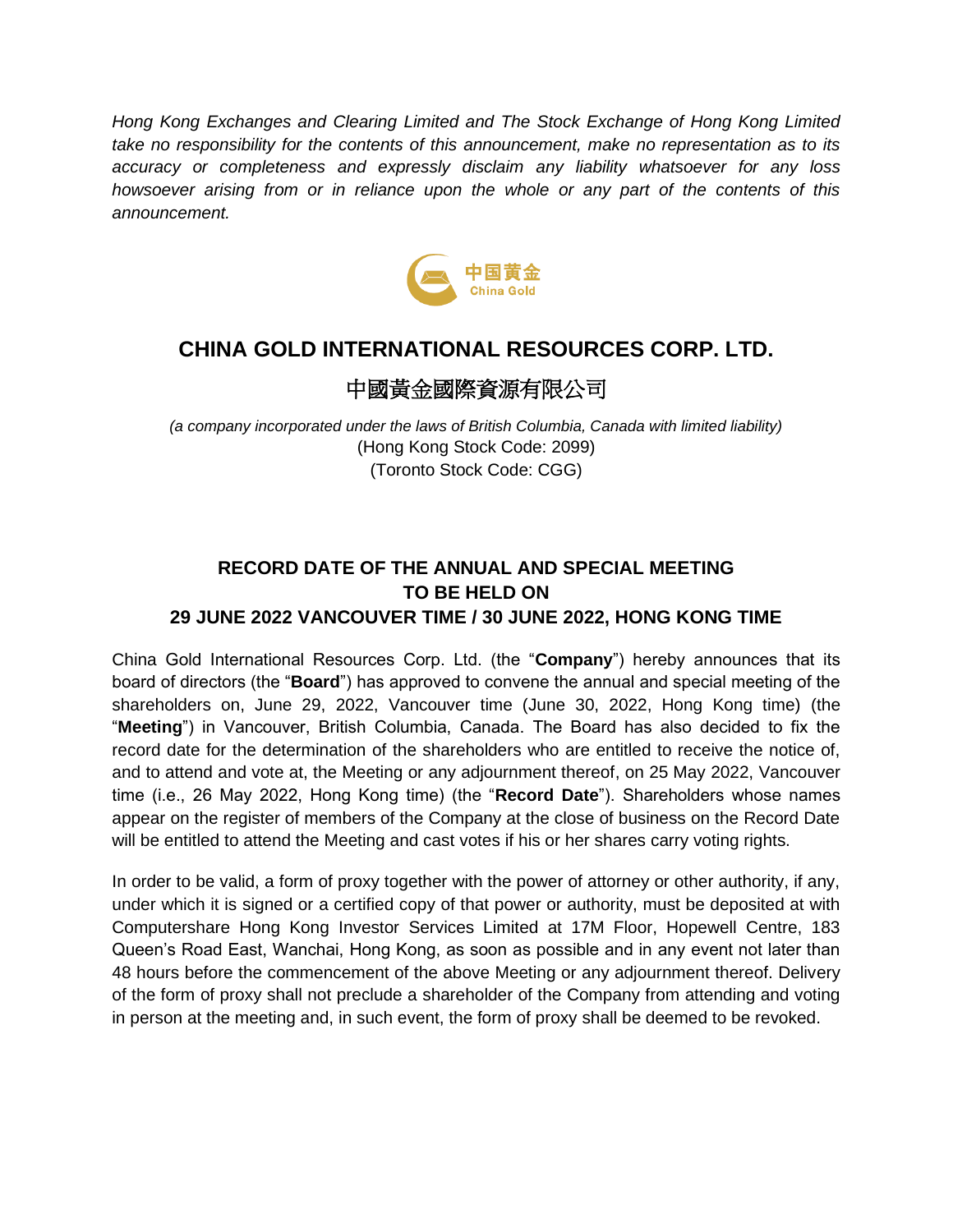*Hong Kong Exchanges and Clearing Limited and The Stock Exchange of Hong Kong Limited take no responsibility for the contents of this announcement, make no representation as to its accuracy or completeness and expressly disclaim any liability whatsoever for any loss howsoever arising from or in reliance upon the whole or any part of the contents of this announcement.*



## **CHINA GOLD INTERNATIONAL RESOURCES CORP. LTD.**

## 中國黃金國際資源有限公司

*(a company incorporated under the laws of British Columbia, Canada with limited liability)* (Hong Kong Stock Code: 2099) (Toronto Stock Code: CGG)

## **RECORD DATE OF THE ANNUAL AND SPECIAL MEETING TO BE HELD ON 29 JUNE 2022 VANCOUVER TIME / 30 JUNE 2022, HONG KONG TIME**

China Gold International Resources Corp. Ltd. (the "**Company**") hereby announces that its board of directors (the "**Board**") has approved to convene the annual and special meeting of the shareholders on, June 29, 2022, Vancouver time (June 30, 2022, Hong Kong time) (the "**Meeting**") in Vancouver, British Columbia, Canada. The Board has also decided to fix the record date for the determination of the shareholders who are entitled to receive the notice of, and to attend and vote at, the Meeting or any adjournment thereof, on 25 May 2022, Vancouver time (i.e., 26 May 2022, Hong Kong time) (the "**Record Date**"). Shareholders whose names appear on the register of members of the Company at the close of business on the Record Date will be entitled to attend the Meeting and cast votes if his or her shares carry voting rights.

In order to be valid, a form of proxy together with the power of attorney or other authority, if any, under which it is signed or a certified copy of that power or authority, must be deposited at with Computershare Hong Kong Investor Services Limited at 17M Floor, Hopewell Centre, 183 Queen's Road East, Wanchai, Hong Kong, as soon as possible and in any event not later than 48 hours before the commencement of the above Meeting or any adjournment thereof. Delivery of the form of proxy shall not preclude a shareholder of the Company from attending and voting in person at the meeting and, in such event, the form of proxy shall be deemed to be revoked.